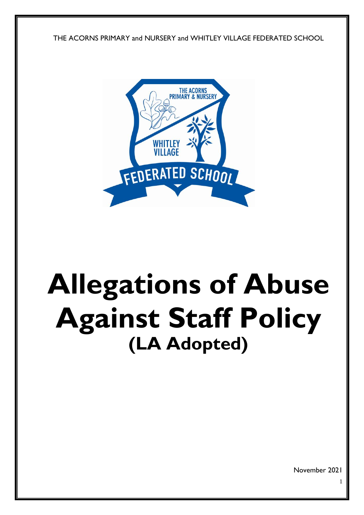THE ACORNS PRIMARY and NURSERY and WHITLEY VILLAGE FEDERATED SCHOOL



# **Allegations of Abuse Against Staff Policy (LA Adopted)**

November 2021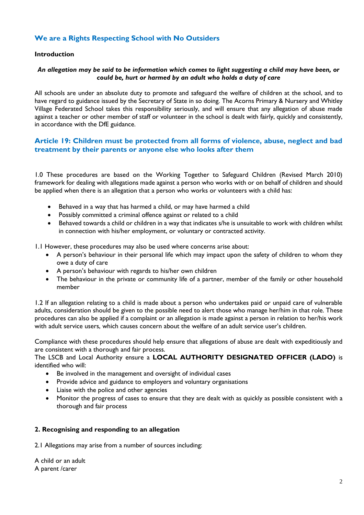## **We are a Rights Respecting School with No Outsiders**

#### **Introduction**

## *An allegation may be said to be information which comes to light suggesting a child may have been, or could be, hurt or harmed by an adult who holds a duty of care*

All schools are under an absolute duty to promote and safeguard the welfare of children at the school, and to have regard to guidance issued by the Secretary of State in so doing. The Acorns Primary & Nursery and Whitley Village Federated School takes this responsibility seriously, and will ensure that any allegation of abuse made against a teacher or other member of staff or volunteer in the school is dealt with fairly, quickly and consistently, in accordance with the DfE guidance.

## **Article 19: Children must be protected from all forms of violence, abuse, neglect and bad treatment by their parents or anyone else who looks after them**

1.0 These procedures are based on the Working Together to Safeguard Children (Revised March 2010) framework for dealing with allegations made against a person who works with or on behalf of children and should be applied when there is an allegation that a person who works or volunteers with a child has:

- Behaved in a way that has harmed a child, or may have harmed a child
- Possibly committed a criminal offence against or related to a child
- Behaved towards a child or children in a way that indicates s/he is unsuitable to work with children whilst in connection with his/her employment, or voluntary or contracted activity.

1.1 However, these procedures may also be used where concerns arise about:

- A person's behaviour in their personal life which may impact upon the safety of children to whom they owe a duty of care
- A person's behaviour with regards to his/her own children
- The behaviour in the private or community life of a partner, member of the family or other household member

1.2 If an allegation relating to a child is made about a person who undertakes paid or unpaid care of vulnerable adults, consideration should be given to the possible need to alert those who manage her/him in that role. These procedures can also be applied if a complaint or an allegation is made against a person in relation to her/his work with adult service users, which causes concern about the welfare of an adult service user's children.

Compliance with these procedures should help ensure that allegations of abuse are dealt with expeditiously and are consistent with a thorough and fair process.

The LSCB and Local Authority ensure a **LOCAL AUTHORITY DESIGNATED OFFICER (LADO)** is identified who will:

- Be involved in the management and oversight of individual cases
- Provide advice and guidance to employers and voluntary organisations
- Liaise with the police and other agencies
- Monitor the progress of cases to ensure that they are dealt with as quickly as possible consistent with a thorough and fair process

#### **2. Recognising and responding to an allegation**

2.1 Allegations may arise from a number of sources including:

A child or an adult A parent /carer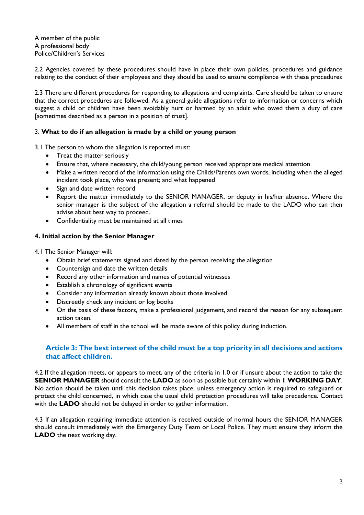A member of the public A professional body Police/Children's Services

2.2 Agencies covered by these procedures should have in place their own policies, procedures and guidance relating to the conduct of their employees and they should be used to ensure compliance with these procedures

2.3 There are different procedures for responding to allegations and complaints. Care should be taken to ensure that the correct procedures are followed. As a general guide allegations refer to information or concerns which suggest a child or children have been avoidably hurt or harmed by an adult who owed them a duty of care [sometimes described as a person in a position of trust].

## 3. **What to do if an allegation is made by a child or young person**

3.1 The person to whom the allegation is reported must:

- Treat the matter seriously
- Ensure that, where necessary, the child/young person received appropriate medical attention
- Make a written record of the information using the Childs/Parents own words, including when the alleged incident took place, who was present; and what happened
- Sign and date written record
- Report the matter immediately to the SENIOR MANAGER, or deputy in his/her absence. Where the senior manager is the subject of the allegation a referral should be made to the LADO who can then advise about best way to proceed.
- Confidentiality must be maintained at all times

#### **4. Initial action by the Senior Manager**

4.1 The Senior Manager will:

- Obtain brief statements signed and dated by the person receiving the allegation
- Countersign and date the written details
- Record any other information and names of potential witnesses
- Establish a chronology of significant events
- Consider any information already known about those involved
- Discreetly check any incident or log books
- On the basis of these factors, make a professional judgement, and record the reason for any subsequent action taken.
- All members of staff in the school will be made aware of this policy during induction.

## **Article 3: The best interest of the child must be a top priority in all decisions and actions that affect children.**

4.2 If the allegation meets, or appears to meet, any of the criteria in 1.0 or if unsure about the action to take the **SENIOR MANAGER** should consult the **LADO** as soon as possible but certainly within **1 WORKING DAY**. No action should be taken until this decision takes place, unless emergency action is required to safeguard or protect the child concerned, in which case the usual child protection procedures will take precedence. Contact with the **LADO** should not be delayed in order to gather information.

4.3 If an allegation requiring immediate attention is received outside of normal hours the SENIOR MANAGER should consult immediately with the Emergency Duty Team or Local Police. They must ensure they inform the **LADO** the next working day.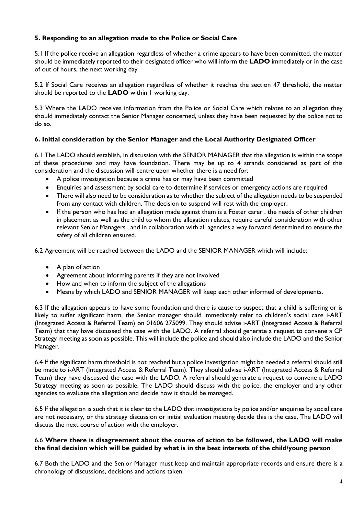## **5. Responding to an allegation made to the Police or Social Care**

5.1 If the police receive an allegation regardless of whether a crime appears to have been committed, the matter should be immediately reported to their designated officer who will inform the **LADO** immediately or in the case of out of hours, the next working day

5.2 If Social Care receives an allegation regardless of whether it reaches the section 47 threshold, the matter should be reported to the **LADO** within 1 working day.

5.3 Where the LADO receives information from the Police or Social Care which relates to an allegation they should immediately contact the Senior Manager concerned, unless they have been requested by the police not to do so.

## **6. Initial consideration by the Senior Manager and the Local Authority Designated Officer**

6.1 The LADO should establish, in discussion with the SENIOR MANAGER that the allegation is within the scope of these procedures and may have foundation. There may be up to 4 strands considered as part of this consideration and the discussion will centre upon whether there is a need for:

- A police investigation because a crime has or may have been committed
- Enquiries and assessment by social care to determine if services or emergency actions are required
- There will also need to be consideration as to whether the subject of the allegation needs to be suspended from any contact with children. The decision to suspend will rest with the employer.
- If the person who has had an allegation made against them is a Foster carer, the needs of other children in placement as well as the child to whom the allegation relates, require careful consideration with other relevant Senior Managers , and in collaboration with all agencies a way forward determined to ensure the safety of all children ensured.

6.2 Agreement will be reached between the LADO and the SENIOR MANAGER which will include:

- A plan of action
- Agreement about informing parents if they are not involved
- How and when to inform the subject of the allegations
- Means by which LADO and SENIOR MANAGER will keep each other informed of developments.

6.3 If the allegation appears to have some foundation and there is cause to suspect that a child is suffering or is likely to suffer significant harm, the Senior manager should immediately refer to children's social care i-ART (Integrated Access & Referral Team) on 01606 275099. They should advise i-ART (Integrated Access & Referral Team) that they have discussed the case with the LADO. A referral should generate a request to convene a CP Strategy meeting as soon as possible. This will include the police and should also include the LADO and the Senior Manager.

6.4 If the significant harm threshold is not reached but a police investigation might be needed a referral should still be made to i-ART (Integrated Access & Referral Team). They should advise i-ART (Integrated Access & Referral Team) they have discussed the case with the LADO. A referral should generate a request to convene a LADO Strategy meeting as soon as possible. The LADO should discuss with the police, the employer and any other agencies to evaluate the allegation and decide how it should be managed.

6.5 If the allegation is such that it is clear to the LADO that investigations by police and/or enquiries by social care are not necessary, or the strategy discussion or initial evaluation meeting decide this is the case, The LADO will discuss the next course of action with the employer.

## 6.6 **Where there is disagreement about the course of action to be followed, the LADO will make the final decision which will be guided by what is in the best interests of the child/young person**

6.7 Both the LADO and the Senior Manager must keep and maintain appropriate records and ensure there is a chronology of discussions, decisions and actions taken.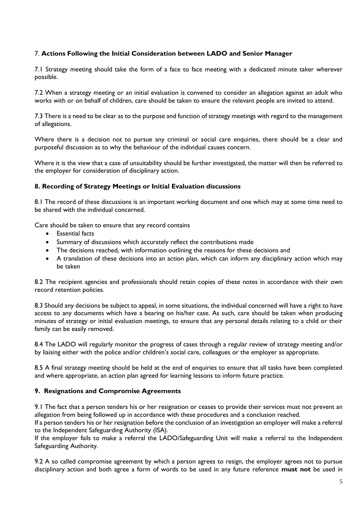## 7. **Actions Following the Initial Consideration between LADO and Senior Manager**

7.1 Strategy meeting should take the form of a face to face meeting with a dedicated minute taker wherever possible.

7.2 When a strategy meeting or an initial evaluation is convened to consider an allegation against an adult who works with or on behalf of children, care should be taken to ensure the relevant people are invited to attend.

7.3 There is a need to be clear as to the purpose and function of strategy meetings with regard to the management of allegations.

Where there is a decision not to pursue any criminal or social care enquiries, there should be a clear and purposeful discussion as to why the behaviour of the individual causes concern.

Where it is the view that a case of unsuitability should be further investigated, the matter will then be referred to the employer for consideration of disciplinary action.

## **8. Recording of Strategy Meetings or Initial Evaluation discussions**

8.1 The record of these discussions is an important working document and one which may at some time need to be shared with the individual concerned.

Care should be taken to ensure that any record contains

- Essential facts
- Summary of discussions which accurately reflect the contributions made
- The decisions reached, with information outlining the reasons for these decisions and
- A translation of these decisions into an action plan, which can inform any disciplinary action which may be taken

8.2 The recipient agencies and professionals should retain copies of these notes in accordance with their own record retention policies.

8.3 Should any decisions be subject to appeal, in some situations, the individual concerned will have a right to have access to any documents which have a bearing on his/her case. As such, care should be taken when producing minutes of strategy or initial evaluation meetings, to ensure that any personal details relating to a child or their family can be easily removed.

8.4 The LADO will regularly monitor the progress of cases through a regular review of strategy meeting and/or by liaising either with the police and/or children's social care, colleagues or the employer as appropriate.

8.5 A final strategy meeting should be held at the end of enquiries to ensure that all tasks have been completed and where appropriate, an action plan agreed for learning lessons to inform future practice.

#### **9. Resignations and Compromise Agreements**

9.1 The fact that a person tenders his or her resignation or ceases to provide their services must not prevent an allegation from being followed up in accordance with these procedures and a conclusion reached.

If a person tenders his or her resignation before the conclusion of an investigation an employer will make a referral to the Independent Safeguarding Authority (ISA).

If the employer fails to make a referral the LADO/Safeguarding Unit will make a referral to the Independent Safeguarding Authority.

9.2 A so called compromise agreement by which a person agrees to resign, the employer agrees not to pursue disciplinary action and both agree a form of words to be used in any future reference **must not** be used in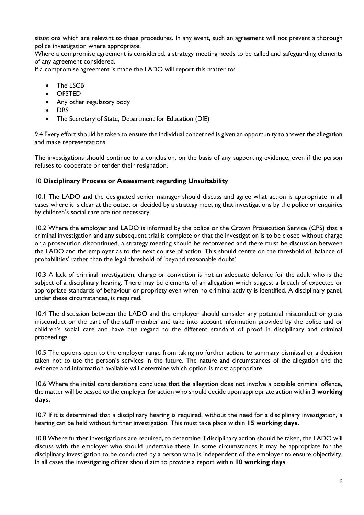situations which are relevant to these procedures. In any event, such an agreement will not prevent a thorough police investigation where appropriate.

Where a compromise agreement is considered, a strategy meeting needs to be called and safeguarding elements of any agreement considered.

If a compromise agreement is made the LADO will report this matter to:

- The LSCB
- OFSTED
- Any other regulatory body
- DBS
- The Secretary of State, Department for Education (DfE)

9.4 Every effort should be taken to ensure the individual concerned is given an opportunity to answer the allegation and make representations.

The investigations should continue to a conclusion, on the basis of any supporting evidence, even if the person refuses to cooperate or tender their resignation.

## 10 **Disciplinary Process or Assessment regarding Unsuitability**

10.1 The LADO and the designated senior manager should discuss and agree what action is appropriate in all cases where it is clear at the outset or decided by a strategy meeting that investigations by the police or enquiries by children's social care are not necessary.

10.2 Where the employer and LADO is informed by the police or the Crown Prosecution Service (CPS) that a criminal investigation and any subsequent trial is complete or that the investigation is to be closed without charge or a prosecution discontinued, a strategy meeting should be reconvened and there must be discussion between the LADO and the employer as to the next course of action. This should centre on the threshold of 'balance of probabilities' rather than the legal threshold of 'beyond reasonable doubt'

10.3 A lack of criminal investigation, charge or conviction is not an adequate defence for the adult who is the subject of a disciplinary hearing. There may be elements of an allegation which suggest a breach of expected or appropriate standards of behaviour or propriety even when no criminal activity is identified. A disciplinary panel, under these circumstances, is required.

10.4 The discussion between the LADO and the employer should consider any potential misconduct or gross misconduct on the part of the staff member and take into account information provided by the police and or children's social care and have due regard to the different standard of proof in disciplinary and criminal proceedings.

10.5 The options open to the employer range from taking no further action, to summary dismissal or a decision taken not to use the person's services in the future. The nature and circumstances of the allegation and the evidence and information available will determine which option is most appropriate.

10.6 Where the initial considerations concludes that the allegation does not involve a possible criminal offence, the matter will be passed to the employer for action who should decide upon appropriate action within **3 working days.** 

10.7 If it is determined that a disciplinary hearing is required, without the need for a disciplinary investigation, a hearing can be held without further investigation. This must take place within **15 working days.** 

10.8 Where further investigations are required, to determine if disciplinary action should be taken, the LADO will discuss with the employer who should undertake these. In some circumstances it may be appropriate for the disciplinary investigation to be conducted by a person who is independent of the employer to ensure objectivity. In all cases the investigating officer should aim to provide a report within **10 working days**.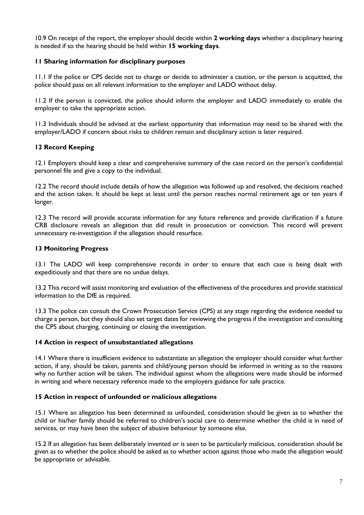10.9 On receipt of the report, the employer should decide within **2 working days** whether a disciplinary hearing is needed if so the hearing should be held within **15 working days**.

## **11 Sharing information for disciplinary purposes**

11.1 If the police or CPS decide not to charge or decide to administer a caution, or the person is acquitted, the police should pass on all relevant information to the employer and LADO without delay.

11.2 If the person is convicted, the police should inform the employer and LADO immediately to enable the employer to take the appropriate action.

11.3 Individuals should be advised at the earliest opportunity that information may need to be shared with the employer/LADO if concern about risks to children remain and disciplinary action is later required.

## **12 Record Keeping**

12.1 Employers should keep a clear and comprehensive summary of the case record on the person's confidential personnel file and give a copy to the individual.

12.2 The record should include details of how the allegation was followed up and resolved, the decisions reached and the action taken. It should be kept at least until the person reaches normal retirement age or ten years if longer.

12.3 The record will provide accurate information for any future reference and provide clarification if a future CRB disclosure reveals an allegation that did result in prosecution or conviction. This record will prevent unnecessary re-investigation if the allegation should resurface.

## **13 Monitoring Progress**

13.1 The LADO will keep comprehensive records in order to ensure that each case is being dealt with expeditiously and that there are no undue delays.

13.2 This record will assist monitoring and evaluation of the effectiveness of the procedures and provide statistical information to the DfE as required.

13.3 The police can consult the Crown Prosecution Service (CPS) at any stage regarding the evidence needed to charge a person, but they should also set target dates for reviewing the progress if the investigation and consulting the CPS about charging, continuing or closing the investigation.

## **14 Action in respect of unsubstantiated allegations**

14.1 Where there is insufficient evidence to substantiate an allegation the employer should consider what further action, if any, should be taken, parents and child/young person should be informed in writing as to the reasons why no further action will be taken. The individual against whom the allegations were made should be informed in writing and where necessary reference made to the employers guidance for safe practice.

## **15 Action in respect of unfounded or malicious allegations**

15.1 Where an allegation has been determined as unfounded, consideration should be given as to whether the child or his/her family should be referred to children's social care to determine whether the child is in need of services, or may have been the subject of abusive behaviour by someone else.

15.2 If an allegation has been deliberately invented or is seen to be particularly malicious, consideration should be given as to whether the police should be asked as to whether action against those who made the allegation would be appropriate or advisable.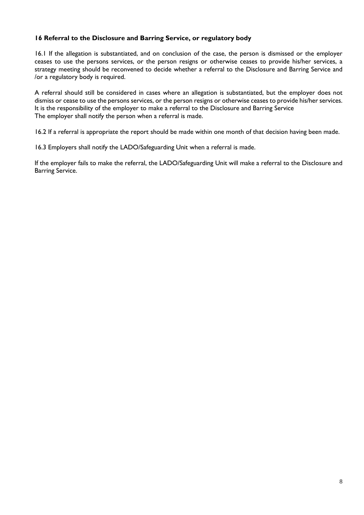## **16 Referral to the Disclosure and Barring Service, or regulatory body**

16.1 If the allegation is substantiated, and on conclusion of the case, the person is dismissed or the employer ceases to use the persons services, or the person resigns or otherwise ceases to provide his/her services, a strategy meeting should be reconvened to decide whether a referral to the Disclosure and Barring Service and /or a regulatory body is required.

A referral should still be considered in cases where an allegation is substantiated, but the employer does not dismiss or cease to use the persons services, or the person resigns or otherwise ceases to provide his/her services. It is the responsibility of the employer to make a referral to the Disclosure and Barring Service The employer shall notify the person when a referral is made.

16.2 If a referral is appropriate the report should be made within one month of that decision having been made.

16.3 Employers shall notify the LADO/Safeguarding Unit when a referral is made.

If the employer fails to make the referral, the LADO/Safeguarding Unit will make a referral to the Disclosure and Barring Service.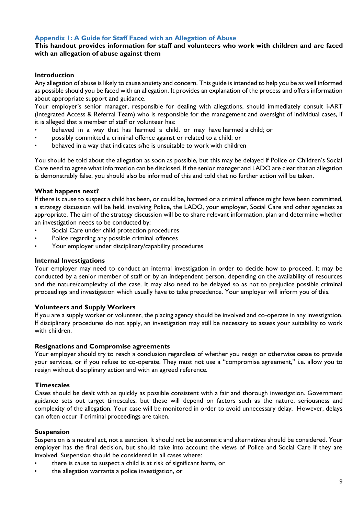## **Appendix 1: A Guide for Staff Faced with an Allegation of Abuse**

## **This handout provides information for staff and volunteers who work with children and are faced with an allegation of abuse against them**

#### **Introduction**

Any allegation of abuse is likely to cause anxiety and concern. This guide is intended to help you be as well informed as possible should you be faced with an allegation. It provides an explanation of the process and offers information about appropriate support and guidance.

Your employer's senior manager, responsible for dealing with allegations, should immediately consult i-ART (Integrated Access & Referral Team) who is responsible for the management and oversight of individual cases, if it is alleged that a member of staff or volunteer has:

- behaved in a way that has harmed a child, or may have harmed a child; or
- possibly committed a criminal offence against or related to a child; or
- behaved in a way that indicates s/he is unsuitable to work with children

You should be told about the allegation as soon as possible, but this may be delayed if Police or Children's Social Care need to agree what information can be disclosed. If the senior manager and LADO are clear that an allegation is demonstrably false, you should also be informed of this and told that no further action will be taken.

#### **What happens next?**

If there is cause to suspect a child has been, or could be, harmed or a criminal offence might have been committed, a strategy discussion will be held, involving Police, the LADO, your employer, Social Care and other agencies as appropriate. The aim of the strategy discussion will be to share relevant information, plan and determine whether an investigation needs to be conducted by:

- Social Care under child protection procedures
- Police regarding any possible criminal offences
- Your employer under disciplinary/capability procedures

#### **Internal Investigations**

Your employer may need to conduct an internal investigation in order to decide how to proceed. It may be conducted by a senior member of staff or by an independent person, depending on the availability of resources and the nature/complexity of the case. It may also need to be delayed so as not to prejudice possible criminal proceedings and investigation which usually have to take precedence. Your employer will inform you of this.

#### **Volunteers and Supply Workers**

If you are a supply worker or volunteer, the placing agency should be involved and co-operate in any investigation. If disciplinary procedures do not apply, an investigation may still be necessary to assess your suitability to work with children.

#### **Resignations and Compromise agreements**

Your employer should try to reach a conclusion regardless of whether you resign or otherwise cease to provide your services, or if you refuse to co-operate. They must not use a "compromise agreement," i.e. allow you to resign without disciplinary action and with an agreed reference.

#### **Timescales**

Cases should be dealt with as quickly as possible consistent with a fair and thorough investigation. Government guidance sets out target timescales, but these will depend on factors such as the nature, seriousness and complexity of the allegation. Your case will be monitored in order to avoid unnecessary delay. However, delays can often occur if criminal proceedings are taken.

#### **Suspension**

Suspension is a neutral act, not a sanction. It should not be automatic and alternatives should be considered. Your employer has the final decision, but should take into account the views of Police and Social Care if they are involved. Suspension should be considered in all cases where:

- there is cause to suspect a child is at risk of significant harm, or
- the allegation warrants a police investigation, or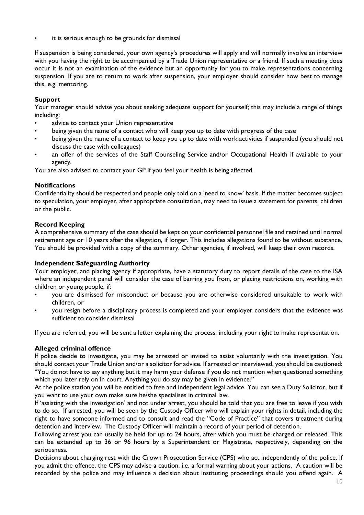it is serious enough to be grounds for dismissal

If suspension is being considered, your own agency's procedures will apply and will normally involve an interview with you having the right to be accompanied by a Trade Union representative or a friend. If such a meeting does occur it is not an examination of the evidence but an opportunity for you to make representations concerning suspension. If you are to return to work after suspension, your employer should consider how best to manage this, e.g. mentoring.

## **Support**

Your manager should advise you about seeking adequate support for yourself; this may include a range of things including:

- advice to contact your Union representative
- being given the name of a contact who will keep you up to date with progress of the case
- being given the name of a contact to keep you up to date with work activities if suspended (you should not discuss the case with colleagues)
- an offer of the services of the Staff Counseling Service and/or Occupational Health if available to your agency.

You are also advised to contact your GP if you feel your health is being affected.

## **Notifications**

Confidentiality should be respected and people only told on a 'need to know' basis. If the matter becomes subject to speculation, your employer, after appropriate consultation, may need to issue a statement for parents, children or the public.

## **Record Keeping**

A comprehensive summary of the case should be kept on your confidential personnel file and retained until normal retirement age or 10 years after the allegation, if longer. This includes allegations found to be without substance. You should be provided with a copy of the summary. Other agencies, if involved, will keep their own records.

## **Independent Safeguarding Authority**

Your employer, and placing agency if appropriate, have a statutory duty to report details of the case to the ISA where an independent panel will consider the case of barring you from, or placing restrictions on, working with children or young people, if:

- you are dismissed for misconduct or because you are otherwise considered unsuitable to work with children, or
- you resign before a disciplinary process is completed and your employer considers that the evidence was sufficient to consider dismissal

If you are referred, you will be sent a letter explaining the process, including your right to make representation.

## **Alleged criminal offence**

If police decide to investigate, you may be arrested or invited to assist voluntarily with the investigation. You should contact your Trade Union and/or a solicitor for advice. If arrested or interviewed, you should be cautioned: "You do not have to say anything but it may harm your defense if you do not mention when questioned something which you later rely on in court. Anything you do say may be given in evidence."

At the police station you will be entitled to free and independent legal advice. You can see a Duty Solicitor, but if you want to use your own make sure he/she specialises in criminal law.

If 'assisting with the investigation' and not under arrest, you should be told that you are free to leave if you wish to do so. If arrested, you will be seen by the Custody Officer who will explain your rights in detail, including the right to have someone informed and to consult and read the "Code of Practice" that covers treatment during detention and interview. The Custody Officer will maintain a record of your period of detention.

Following arrest you can usually be held for up to 24 hours, after which you must be charged or released. This can be extended up to 36 or 96 hours by a Superintendent or Magistrate, respectively, depending on the seriousness.

Decisions about charging rest with the Crown Prosecution Service (CPS) who act independently of the police. If you admit the offence, the CPS may advise a caution, i.e. a formal warning about your actions. A caution will be recorded by the police and may influence a decision about instituting proceedings should you offend again. A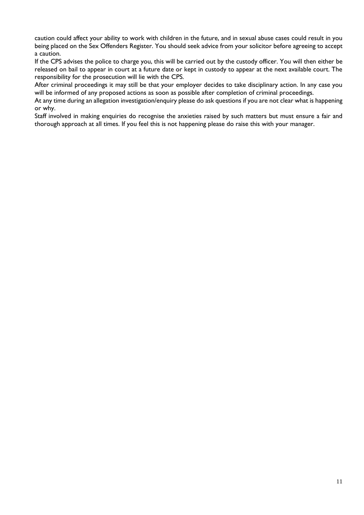caution could affect your ability to work with children in the future, and in sexual abuse cases could result in you being placed on the Sex Offenders Register. You should seek advice from your solicitor before agreeing to accept a caution.

If the CPS advises the police to charge you, this will be carried out by the custody officer. You will then either be released on bail to appear in court at a future date or kept in custody to appear at the next available court. The responsibility for the prosecution will lie with the CPS.

After criminal proceedings it may still be that your employer decides to take disciplinary action. In any case you will be informed of any proposed actions as soon as possible after completion of criminal proceedings.

At any time during an allegation investigation/enquiry please do ask questions if you are not clear what is happening or why.

Staff involved in making enquiries do recognise the anxieties raised by such matters but must ensure a fair and thorough approach at all times. If you feel this is not happening please do raise this with your manager.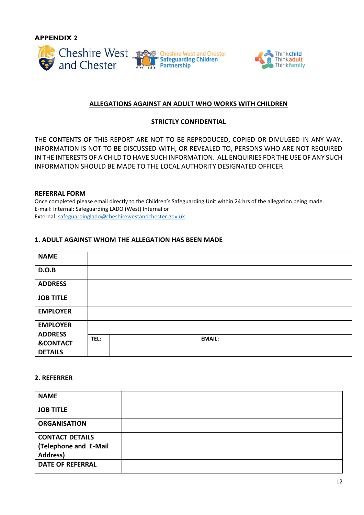**APPENDIX 2**





## **ALLEGATIONS AGAINST AN ADULT WHO WORKS WITH CHILDREN**

## **STRICTLY CONFIDENTIAL**

THE CONTENTS OF THIS REPORT ARE NOT TO BE REPRODUCED, COPIED OR DIVULGED IN ANY WAY. INFORMATION IS NOT TO BE DISCUSSED WITH, OR REVEALED TO, PERSONS WHO ARE NOT REQUIRED IN THE INTERESTS OF A CHILD TO HAVE SUCH INFORMATION. ALL ENQUIRIES FOR THE USE OF ANY SUCH INFORMATION SHOULD BE MADE TO THE LOCAL AUTHORITY DESIGNATED OFFICER

## **REFERRAL FORM**

Once completed please email directly to the Children's Safeguarding Unit within 24 hrs of the allegation being made. E-mail: Internal: Safeguarding LADO (West) Internal or External: [safeguardinglado@cheshirewestandchester.gov.uk](mailto:safeguardinglado@cheshirewestandchester.gov.uk) 

## **1. ADULT AGAINST WHOM THE ALLEGATION HAS BEEN MADE**

| <b>NAME</b>                           |                       |  |
|---------------------------------------|-----------------------|--|
| D.O.B                                 |                       |  |
| <b>ADDRESS</b>                        |                       |  |
| <b>JOB TITLE</b>                      |                       |  |
| <b>EMPLOYER</b>                       |                       |  |
| <b>EMPLOYER</b><br><b>ADDRESS</b>     |                       |  |
| <b>&amp;CONTACT</b><br><b>DETAILS</b> | TEL:<br><b>EMAIL:</b> |  |

## **2. REFERRER**

| <b>NAME</b>             |  |
|-------------------------|--|
| <b>JOB TITLE</b>        |  |
| <b>ORGANISATION</b>     |  |
| <b>CONTACT DETAILS</b>  |  |
| (Telephone and E-Mail   |  |
| Address)                |  |
| <b>DATE OF REFERRAL</b> |  |
|                         |  |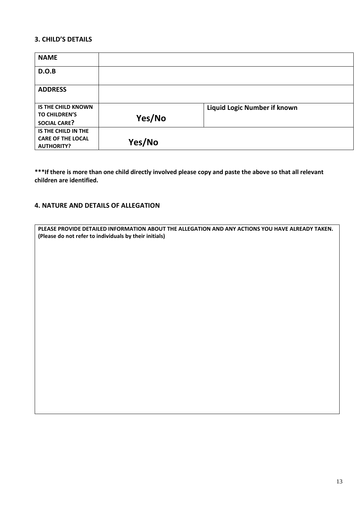## **3. CHILD'S DETAILS**

| <b>NAME</b>               |        |                                     |
|---------------------------|--------|-------------------------------------|
| D.O.B                     |        |                                     |
| <b>ADDRESS</b>            |        |                                     |
|                           |        |                                     |
| <b>IS THE CHILD KNOWN</b> |        | <b>Liquid Logic Number if known</b> |
| <b>TO CHILDREN'S</b>      | Yes/No |                                     |
| <b>SOCIAL CARE?</b>       |        |                                     |
| IS THE CHILD IN THE       |        |                                     |
| <b>CARE OF THE LOCAL</b>  | Yes/No |                                     |
| <b>AUTHORITY?</b>         |        |                                     |

**\*\*\*If there is more than one child directly involved please copy and paste the above so that all relevant children are identified.**

## **4. NATURE AND DETAILS OF ALLEGATION**

| PLEASE PROVIDE DETAILED INFORMATION ABOUT THE ALLEGATION AND ANY ACTIONS YOU HAVE ALREADY TAKEN.<br>(Please do not refer to individuals by their initials) |  |  |
|------------------------------------------------------------------------------------------------------------------------------------------------------------|--|--|
|                                                                                                                                                            |  |  |
|                                                                                                                                                            |  |  |
|                                                                                                                                                            |  |  |
|                                                                                                                                                            |  |  |
|                                                                                                                                                            |  |  |
|                                                                                                                                                            |  |  |
|                                                                                                                                                            |  |  |
|                                                                                                                                                            |  |  |
|                                                                                                                                                            |  |  |
|                                                                                                                                                            |  |  |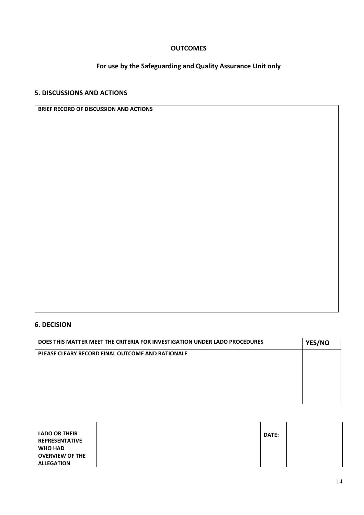## **OUTCOMES**

# **For use by the Safeguarding and Quality Assurance Unit only**

# **5. DISCUSSIONS AND ACTIONS**

| <b>BRIEF RECORD OF DISCUSSION AND ACTIONS</b> |  |  |
|-----------------------------------------------|--|--|
|-----------------------------------------------|--|--|

# **6. DECISION**

| DOES THIS MATTER MEET THE CRITERIA FOR INVESTIGATION UNDER LADO PROCEDURES | YES/NO |
|----------------------------------------------------------------------------|--------|
| PLEASE CLEARY RECORD FINAL OUTCOME AND RATIONALE                           |        |
|                                                                            |        |
|                                                                            |        |
|                                                                            |        |
|                                                                            |        |

| <b>LADO OR THEIR</b>   | <b>DATE:</b> |  |
|------------------------|--------------|--|
| <b>REPRESENTATIVE</b>  |              |  |
| <b>WHO HAD</b>         |              |  |
| <b>OVERVIEW OF THE</b> |              |  |
| <b>ALLEGATION</b>      |              |  |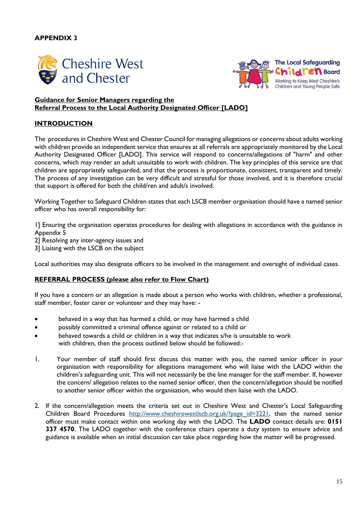## **APPENDIX 3**





## **Guidance for Senior Managers regarding the Referral Process to the Local Authority Designated Officer [LADO]**

## **INTRODUCTION**

The procedures in Cheshire West and Chester Council for managing allegations or concerns about adults working with children provide an independent service that ensures at all referrals are appropriately monitored by the Local Authority Designated Officer [LADO]. This service will respond to concerns/allegations of "harm" and other concerns, which may render an adult unsuitable to work with children. The key principles of this service are that children are appropriately safeguarded, and that the process is proportionate, consistent, transparent and timely. The process of any investigation can be very difficult and stressful for those involved, and it is therefore crucial that support is offered for both the child/ren and adult/s involved.

Working Together to Safeguard Children states that each LSCB member organisation should have a named senior officer who has overall responsibility for:

1] Ensuring the organisation operates procedures for dealing with allegations in accordance with the guidance in Appendix 5

2] Resolving any inter-agency issues and

3] Liaising with the LSCB on the subject

Local authorities may also designate officers to be involved in the management and oversight of individual cases.

#### **REFERRAL PROCESS (please also refer to Flow Chart)**

If you have a concern or an allegation is made about a person who works with children, whether a professional, staff member, foster carer or volunteer and they may have: -

- behaved in a way that has harmed a child, or may have harmed a child
- possibly committed a criminal offence against or related to a child or
- behaved towards a child or children in a way that indicates s/he is unsuitable to work with children, then the process outlined below should be followed:-
- 1. Your member of staff should first discuss this matter with you, the named senior officer in your organisation with responsibility for allegations management who will liaise with the LADO within the children's safeguarding unit. This will not necessarily be the line manager for the staff member. If, however the concern/ allegation relates to the named senior officer, then the concern/allegation should be notified to another senior officer within the organisation, who would then liaise with the LADO.
- 2. If the concern/allegation meets the criteria set out in Cheshire West and Chester's Local Safeguarding Children Board Procedures [http://www.cheshirewestlscb.org.uk/?page\\_id=3221,](http://www.cheshirewestlscb.org.uk/?page_id=3221) then the named senior officer must make contact within one working day with the LADO. The **LADO** contact details are: **0151 337 4570**. The LADO together with the conference chairs operate a duty system to ensure advice and guidance is available when an initial discussion can take place regarding how the matter will be progressed.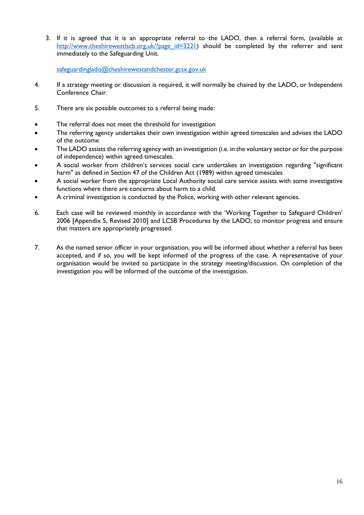3. If it is agreed that it is an appropriate referral to the LADO, then a referral form, (available at [http://www.cheshirewestlscb.org.uk/?page\\_id=3221\)](http://www.cheshirewestlscb.org.uk/?page_id=3221) should be completed by the referrer and sent immediately to the Safeguarding Unit.

[safeguardinglado@cheshirewestandchester.gcsx.gov.uk](mailto:safeguardinglado@cheshirewestandchester.gcsx.gov.uk)

- 4. If a strategy meeting or discussion is required, it will normally be chaired by the LADO, or Independent Conference Chair.
- 5. There are six possible outcomes to a referral being made:
- The referral does not meet the threshold for investigation
- The referring agency undertakes their own investigation within agreed timescales and advises the LADO of the outcome
- The LADO assists the referring agency with an investigation (i.e. in the voluntary sector or for the purpose of independence) within agreed timescales.
- A social worker from children's services social care undertakes an investigation regarding "significant harm" as defined in Section 47 of the Children Act (1989) within agreed timescales
- A social worker from the appropriate Local Authority social care service assists with some investigative functions where there are concerns about harm to a child.
- A criminal investigation is conducted by the Police, working with other relevant agencies.
- 6. Each case will be reviewed monthly in accordance with the 'Working Together to Safeguard Children' 2006 [Appendix 5, Revised 2010] and LCSB Procedures by the LADO, to monitor progress and ensure that matters are appropriately progressed.
- 7. As the named senior officer in your organisation, you will be informed about whether a referral has been accepted, and if so, you will be kept informed of the progress of the case. A representative of your organisation would be invited to participate in the strategy meeting/discussion. On completion of the investigation you will be informed of the outcome of the investigation.